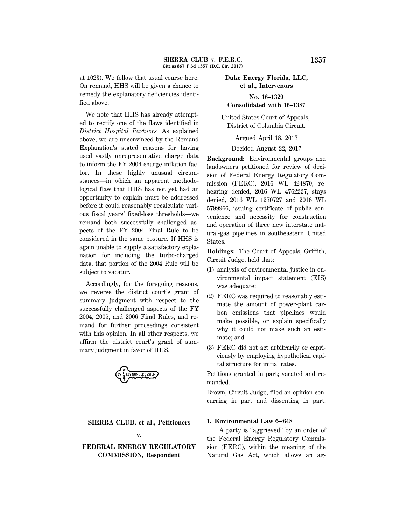at 1023). We follow that usual course here. On remand, HHS will be given a chance to remedy the explanatory deficiencies identified above.

We note that HHS has already attempted to rectify one of the flaws identified in *District Hospital Partners.* As explained above, we are unconvinced by the Remand Explanation's stated reasons for having used vastly unrepresentative charge data to inform the FY 2004 charge-inflation factor. In these highly unusual circumstances—in which an apparent methodological flaw that HHS has not yet had an opportunity to explain must be addressed before it could reasonably recalculate various fiscal years' fixed-loss thresholds—we remand both successfully challenged aspects of the FY 2004 Final Rule to be considered in the same posture. If HHS is again unable to supply a satisfactory explanation for including the turbo-charged data, that portion of the 2004 Rule will be subject to vacatur.

Accordingly, for the foregoing reasons, we reverse the district court's grant of summary judgment with respect to the successfully challenged aspects of the FY 2004, 2005, and 2006 Final Rules, and remand for further proceedings consistent with this opinion. In all other respects, we affirm the district court's grant of summary judgment in favor of HHS.

**TY NUMBER SYSTER** 

# **SIERRA CLUB, et al., Petitioners v.**

# **FEDERAL ENERGY REGULATORY COMMISSION, Respondent**

# **Duke Energy Florida, LLC, et al., Intervenors No. 16–1329 Consolidated with 16–1387**

United States Court of Appeals, District of Columbia Circuit.

Argued April 18, 2017

Decided August 22, 2017

**Background:** Environmental groups and landowners petitioned for review of decision of Federal Energy Regulatory Commission (FERC), 2016 WL 424870, rehearing denied, 2016 WL 4762227, stays denied, 2016 WL 1270727 and 2016 WL 5799966, issuing certificate of public convenience and necessity for construction and operation of three new interstate natural-gas pipelines in southeastern United States.

**Holdings:** The Court of Appeals, Griffith, Circuit Judge, held that:

- (1) analysis of environmental justice in environmental impact statement (EIS) was adequate;
- (2) FERC was required to reasonably estimate the amount of power-plant carbon emissions that pipelines would make possible, or explain specifically why it could not make such an estimate; and
- (3) FERC did not act arbitrarily or capriciously by employing hypothetical capital structure for initial rates.

Petitions granted in part; vacated and remanded.

Brown, Circuit Judge, filed an opinion concurring in part and dissenting in part.

## **1. Environmental Law** O**648**

A party is ''aggrieved'' by an order of the Federal Energy Regulatory Commission (FERC), within the meaning of the Natural Gas Act, which allows an ag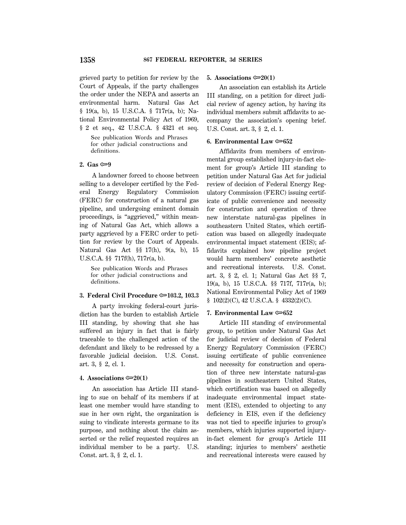grieved party to petition for review by the Court of Appeals, if the party challenges the order under the NEPA and asserts an environmental harm. Natural Gas Act § 19(a, b), 15 U.S.C.A. § 717r(a, b); National Environmental Policy Act of 1969, § 2 et seq., 42 U.S.C.A. § 4321 et seq.

See publication Words and Phrases for other judicial constructions and definitions.

# **2.** Gas ∞9

A landowner forced to choose between selling to a developer certified by the Federal Energy Regulatory Commission (FERC) for construction of a natural gas pipeline, and undergoing eminent domain proceedings, is ''aggrieved,'' within meaning of Natural Gas Act, which allows a party aggrieved by a FERC order to petition for review by the Court of Appeals. Natural Gas Act §§ 17(h), 9(a, b), 15 U.S.C.A. §§ 717f(h), 717r(a, b).

See publication Words and Phrases for other judicial constructions and definitions.

## **3. Federal Civil Procedure**  $\approx$  **103.2, 103.3**

A party invoking federal-court jurisdiction has the burden to establish Article III standing, by showing that she has suffered an injury in fact that is fairly traceable to the challenged action of the defendant and likely to be redressed by a favorable judicial decision. U.S. Const. art. 3, § 2, cl. 1.

## **4.** Associations  $\approx 20(1)$

An association has Article III standing to sue on behalf of its members if at least one member would have standing to sue in her own right, the organization is suing to vindicate interests germane to its purpose, and nothing about the claim asserted or the relief requested requires an individual member to be a party. U.S. Const. art. 3, § 2, cl. 1.

#### **5.** Associations  $\mathcal{L}(1)$

An association can establish its Article III standing, on a petition for direct judicial review of agency action, by having its individual members submit affidavits to accompany the association's opening brief. U.S. Const. art. 3, § 2, cl. 1.

## **6. Environmental Law** O**652**

Affidavits from members of environmental group established injury-in-fact element for group's Article III standing to petition under Natural Gas Act for judicial review of decision of Federal Energy Regulatory Commission (FERC) issuing certificate of public convenience and necessity for construction and operation of three new interstate natural-gas pipelines in southeastern United States, which certification was based on allegedly inadequate environmental impact statement (EIS); affidavits explained how pipeline project would harm members' concrete aesthetic and recreational interests. U.S. Const. art. 3, § 2, cl. 1; Natural Gas Act §§ 7, 19(a, b), 15 U.S.C.A. §§ 717f, 717r(a, b); National Environmental Policy Act of 1969 § 102(2)(C), 42 U.S.C.A. § 4332(2)(C).

#### **7. Environmental Law**  $\approx 652$

Article III standing of environmental group, to petition under Natural Gas Act for judicial review of decision of Federal Energy Regulatory Commission (FERC) issuing certificate of public convenience and necessity for construction and operation of three new interstate natural-gas pipelines in southeastern United States, which certification was based on allegedly inadequate environmental impact statement (EIS), extended to objecting to any deficiency in EIS, even if the deficiency was not tied to specific injuries to group's members, which injuries supported injuryin-fact element for group's Article III standing; injuries to members' aesthetic and recreational interests were caused by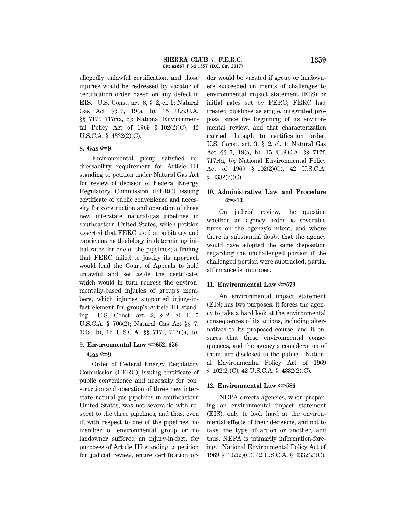allegedly unlawful certification, and those injuries would be redressed by vacatur of certification order based on any defect in EIS. U.S. Const. art. 3, § 2, cl. 1; Natural Gas Act §§ 7, 19(a, b), 15 U.S.C.A. §§ 717f, 717r(a, b); National Environmental Policy Act of 1969 § 102(2)(C), 42 U.S.C.A. § 4332(2)(C).

#### 8. Gas  $\approx 9$

Environmental group satisfied redressability requirement for Article III standing to petition under Natural Gas Act for review of decision of Federal Energy Regulatory Commission (FERC) issuing certificate of public convenience and necessity for construction and operation of three new interstate natural-gas pipelines in southeastern United States, which petition asserted that FERC used an arbitrary and capricious methodology in determining initial rates for one of the pipelines; a finding that FERC failed to justify its approach would lead the Court of Appeals to hold unlawful and set aside the certificate, which would in turn redress the environmentally-based injuries of group's members, which injuries supported injury-infact element for group's Article III standing. U.S. Const. art. 3, § 2, cl. 1; 5 U.S.C.A. § 706(2); Natural Gas Act §§ 7, 19(a, b), 15 U.S.C.A. §§ 717f, 717r(a, b).

# **9. Environmental Law**  $\approx 652$ **, 656**

# **Gas** O**9**

Order of Federal Energy Regulatory Commission (FERC), issuing certificate of public convenience and necessity for construction and operation of three new interstate natural-gas pipelines in southeastern United States, was not severable with respect to the three pipelines, and thus, even if, with respect to one of the pipelines, no member of environmental group or no landowner suffered an injury-in-fact, for purposes of Article III standing to petition for judicial review, entire certification order would be vacated if group or landowners succeeded on merits of challenges to environmental impact statement (EIS) or initial rates set by FERC; FERC had treated pipelines as single, integrated proposal since the beginning of its environmental review, and that characterization carried through to certification order. U.S. Const. art. 3, § 2, cl. 1; Natural Gas Act §§ 7, 19(a, b), 15 U.S.C.A. §§ 717f, 717r(a, b); National Environmental Policy Act of 1969 § 102(2)(C), 42 U.S.C.A. § 4332(2)(C).

# **10. Administrative Law and Procedure** O**813**

On judicial review, the question whether an agency order is severable turns on the agency's intent, and where there is substantial doubt that the agency would have adopted the same disposition regarding the unchallenged portion if the challenged portion were subtracted, partial affirmance is improper.

## **11. Environmental Law** O**579**

An environmental impact statement (EIS) has two purposes: it forces the agency to take a hard look at the environmental consequences of its actions, including alternatives to its proposed course, and it ensures that these environmental consequences, and the agency's consideration of them, are disclosed to the public. National Environmental Policy Act of 1969 § 102(2)(C), 42 U.S.C.A. § 4332(2)(C).

## **12. Environmental Law** O**586**

NEPA directs agencies, when preparing an environmental impact statement (EIS), only to look hard at the environmental effects of their decisions, and not to take one type of action or another, and thus, NEPA is primarily information-forcing. National Environmental Policy Act of 1969 § 102(2)(C), 42 U.S.C.A. § 4332(2)(C).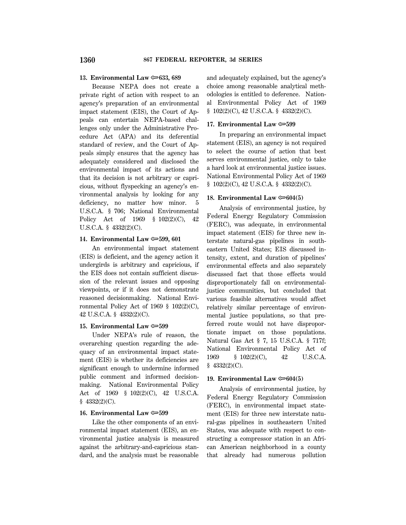## **13. Environmental Law**  $\approx 633, 689$

Because NEPA does not create a private right of action with respect to an agency's preparation of an environmental impact statement (EIS), the Court of Appeals can entertain NEPA-based challenges only under the Administrative Procedure Act (APA) and its deferential standard of review, and the Court of Appeals simply ensures that the agency has adequately considered and disclosed the environmental impact of its actions and that its decision is not arbitrary or capricious, without flyspecking an agency's environmental analysis by looking for any deficiency, no matter how minor. 5 U.S.C.A. § 706; National Environmental Policy Act of 1969 § 102(2)(C), 42 U.S.C.A. § 4332(2)(C).

## **14. Environmental Law** O**599, 601**

An environmental impact statement (EIS) is deficient, and the agency action it undergirds is arbitrary and capricious, if the EIS does not contain sufficient discussion of the relevant issues and opposing viewpoints, or if it does not demonstrate reasoned decisionmaking. National Environmental Policy Act of 1969 § 102(2)(C), 42 U.S.C.A. § 4332(2)(C).

#### **15. Environmental Law**  $\approx 599$

Under NEPA's rule of reason, the overarching question regarding the adequacy of an environmental impact statement (EIS) is whether its deficiencies are significant enough to undermine informed public comment and informed decisionmaking. National Environmental Policy Act of 1969 § 102(2)(C), 42 U.S.C.A. § 4332(2)(C).

#### **16. Environmental Law** O**599**

Like the other components of an environmental impact statement (EIS), an environmental justice analysis is measured against the arbitrary-and-capricious standard, and the analysis must be reasonable and adequately explained, but the agency's choice among reasonable analytical methodologies is entitled to deference. National Environmental Policy Act of 1969 § 102(2)(C), 42 U.S.C.A. § 4332(2)(C).

## **17. Environmental Law** O**599**

In preparing an environmental impact statement (EIS), an agency is not required to select the course of action that best serves environmental justice, only to take a hard look at environmental justice issues. National Environmental Policy Act of 1969 § 102(2)(C), 42 U.S.C.A. § 4332(2)(C).

## **18. Environmental Law**  $\infty$ **604(5)**

Analysis of environmental justice, by Federal Energy Regulatory Commission (FERC), was adequate, in environmental impact statement (EIS) for three new interstate natural-gas pipelines in southeastern United States; EIS discussed intensity, extent, and duration of pipelines' environmental effects and also separately discussed fact that those effects would disproportionately fall on environmentaljustice communities, but concluded that various feasible alternatives would affect relatively similar percentage of environmental justice populations, so that preferred route would not have disproportionate impact on those populations. Natural Gas Act § 7, 15 U.S.C.A. § 717f; National Environmental Policy Act of 1969 § 102(2)(C), 42 U.S.C.A.  $$4332(2)(C).$ 

#### **19. Environmental Law**  $\approx 604(5)$

Analysis of environmental justice, by Federal Energy Regulatory Commission (FERC), in environmental impact statement (EIS) for three new interstate natural-gas pipelines in southeastern United States, was adequate with respect to constructing a compressor station in an African American neighborhood in a county that already had numerous pollution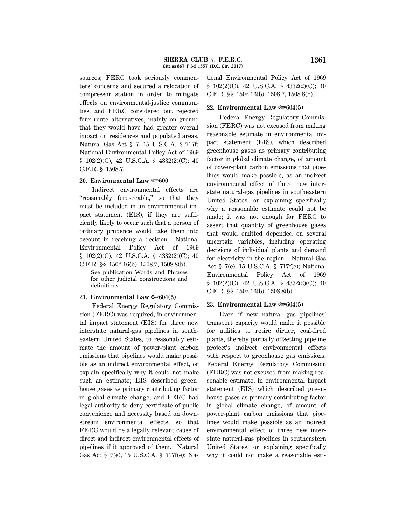sources; FERC took seriously commenters' concerns and secured a relocation of compressor station in order to mitigate effects on environmental-justice communities, and FERC considered but rejected four route alternatives, mainly on ground that they would have had greater overall impact on residences and populated areas. Natural Gas Act § 7, 15 U.S.C.A. § 717f; National Environmental Policy Act of 1969 § 102(2)(C), 42 U.S.C.A. § 4332(2)(C); 40 C.F.R. § 1508.7.

# **20. Environmental Law**  $\approx 600$

Indirect environmental effects are "reasonably foreseeable," so that they must be included in an environmental impact statement (EIS), if they are sufficiently likely to occur such that a person of ordinary prudence would take them into account in reaching a decision. National Environmental Policy Act of 1969 § 102(2)(C), 42 U.S.C.A. § 4332(2)(C); 40 C.F.R. §§ 1502.16(b), 1508.7, 1508.8(b).

See publication Words and Phrases for other judicial constructions and definitions.

#### **21. Environmental Law**  $\approx 604(5)$

Federal Energy Regulatory Commission (FERC) was required, in environmental impact statement (EIS) for three new interstate natural-gas pipelines in southeastern United States, to reasonably estimate the amount of power-plant carbon emissions that pipelines would make possible as an indirect environmental effect, or explain specifically why it could not make such an estimate; EIS described greenhouse gases as primary contributing factor in global climate change, and FERC had legal authority to deny certificate of public convenience and necessity based on downstream environmental effects, so that FERC would be a legally relevant cause of direct and indirect environmental effects of pipelines if it approved of them. Natural Gas Act § 7(e), 15 U.S.C.A. § 717f(e); National Environmental Policy Act of 1969 § 102(2)(C), 42 U.S.C.A. § 4332(2)(C); 40 C.F.R. §§ 1502.16(b), 1508.7, 1508.8(b).

#### **22. Environmental Law**  $\approx 604(5)$

Federal Energy Regulatory Commission (FERC) was not excused from making reasonable estimate in environmental impact statement (EIS), which described greenhouse gases as primary contributing factor in global climate change, of amount of power-plant carbon emissions that pipelines would make possible, as an indirect environmental effect of three new interstate natural-gas pipelines in southeastern United States, or explaining specifically why a reasonable estimate could not be made; it was not enough for FERC to assert that quantity of greenhouse gases that would emitted depended on several uncertain variables, including operating decisions of individual plants and demand for electricity in the region. Natural Gas Act § 7(e), 15 U.S.C.A. § 717f(e); National Environmental Policy Act of 1969 § 102(2)(C), 42 U.S.C.A. § 4332(2)(C); 40 C.F.R. §§ 1502.16(b), 1508.8(b).

#### **23. Environmental Law**  $\infty$ **604(5)**

Even if new natural gas pipelines' transport capacity would make it possible for utilities to retire dirtier, coal-fired plants, thereby partially offsetting pipeline project's indirect environmental effects with respect to greenhouse gas emissions, Federal Energy Regulatory Commission (FERC) was not excused from making reasonable estimate, in environmental impact statement (EIS) which described greenhouse gases as primary contributing factor in global climate change, of amount of power-plant carbon emissions that pipelines would make possible as an indirect environmental effect of three new interstate natural-gas pipelines in southeastern United States, or explaining specifically why it could not make a reasonable esti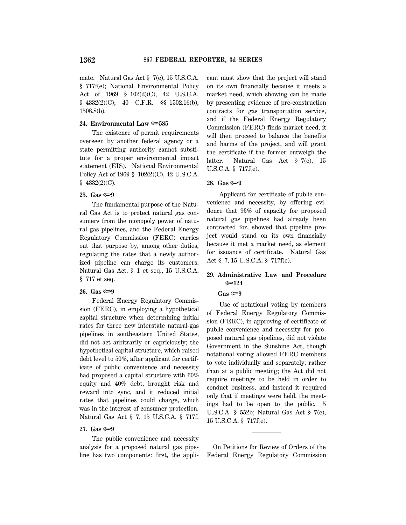mate. Natural Gas Act § 7(e), 15 U.S.C.A. § 717f(e); National Environmental Policy Act of 1969 § 102(2)(C), 42 U.S.C.A. § 4332(2)(C); 40 C.F.R. §§ 1502.16(b), 1508.8(b).

## **24. Environmental Law** O**585**

The existence of permit requirements overseen by another federal agency or a state permitting authority cannot substitute for a proper environmental impact statement (EIS). National Environmental Policy Act of 1969 § 102(2)(C), 42 U.S.C.A. § 4332(2)(C).

#### 25. Gas <del>©</del>9

The fundamental purpose of the Natural Gas Act is to protect natural gas consumers from the monopoly power of natural gas pipelines, and the Federal Energy Regulatory Commission (FERC) carries out that purpose by, among other duties, regulating the rates that a newly authorized pipeline can charge its customers. Natural Gas Act, § 1 et seq., 15 U.S.C.A. § 717 et seq.

## **26.** Gas  $\infty$ –9

Federal Energy Regulatory Commission (FERC), in employing a hypothetical capital structure when determining initial rates for three new interstate natural-gas pipelines in southeastern United States, did not act arbitrarily or capriciously; the hypothetical capital structure, which raised debt level to 50%, after applicant for certificate of public convenience and necessity had proposed a capital structure with 60% equity and 40% debt, brought risk and reward into sync, and it reduced initial rates that pipelines could charge, which was in the interest of consumer protection. Natural Gas Act § 7, 15 U.S.C.A. § 717f.

# 27. Gas <del>©</del>9

The public convenience and necessity analysis for a proposed natural gas pipeline has two components: first, the applicant must show that the project will stand on its own financially because it meets a market need, which showing can be made by presenting evidence of pre-construction contracts for gas transportation service, and if the Federal Energy Regulatory Commission (FERC) finds market need, it will then proceed to balance the benefits and harms of the project, and will grant the certificate if the former outweigh the latter. Natural Gas Act § 7(e), 15 U.S.C.A. § 717f(e).

#### **28. Gas** O**9**

Applicant for certificate of public convenience and necessity, by offering evidence that 93% of capacity for proposed natural gas pipelines had already been contracted for, showed that pipeline project would stand on its own financially because it met a market need, as element for issuance of certificate. Natural Gas Act § 7, 15 U.S.C.A. § 717f(e).

# **29. Administrative Law and Procedure** O**124**

#### **Gas** O**9**

Use of notational voting by members of Federal Energy Regulatory Commission (FERC), in approving of certificate of public convenience and necessity for proposed natural gas pipelines, did not violate Government in the Sunshine Act, though notational voting allowed FERC members to vote individually and separately, rather than at a public meeting; the Act did not require meetings to be held in order to conduct business, and instead it required only that if meetings were held, the meetings had to be open to the public. 5 U.S.C.A. § 552b; Natural Gas Act § 7(e), 15 U.S.C.A. § 717f(e).

On Petitions for Review of Orders of the Federal Energy Regulatory Commission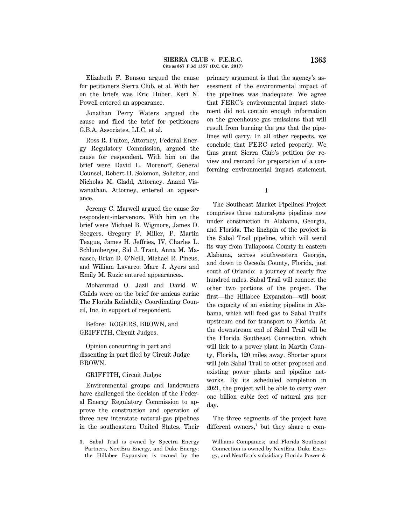Elizabeth F. Benson argued the cause for petitioners Sierra Club, et al. With her on the briefs was Eric Huber. Keri N. Powell entered an appearance.

Jonathan Perry Waters argued the cause and filed the brief for petitioners G.B.A. Associates, LLC, et al.

Ross R. Fulton, Attorney, Federal Energy Regulatory Commission, argued the cause for respondent. With him on the brief were David L. Morenoff, General Counsel, Robert H. Solomon, Solicitor, and Nicholas M. Gladd, Attorney. Anand Viswanathan, Attorney, entered an appearance.

Jeremy C. Marwell argued the cause for respondent-intervenors. With him on the brief were Michael B. Wigmore, James D. Seegers, Gregory F. Miller, P. Martin Teague, James H. Jeffries, IV, Charles L. Schlumberger, Sid J. Trant, Anna M. Manasco, Brian D. O'Neill, Michael R. Pincus, and William Lavarco. Marc J. Ayers and Emily M. Ruzic entered appearances.

Mohammad O. Jazil and David W. Childs were on the brief for amicus curiae The Florida Reliability Coordinating Council, Inc. in support of respondent.

Before: ROGERS, BROWN, and GRIFFITH, Circuit Judges.

Opinion concurring in part and dissenting in part filed by Circuit Judge BROWN.

GRIFFITH, Circuit Judge:

Environmental groups and landowners have challenged the decision of the Federal Energy Regulatory Commission to approve the construction and operation of three new interstate natural-gas pipelines in the southeastern United States. Their

**1.** Sabal Trail is owned by Spectra Energy Partners, NextEra Energy, and Duke Energy; the Hillabee Expansion is owned by the primary argument is that the agency's assessment of the environmental impact of the pipelines was inadequate. We agree that FERC's environmental impact statement did not contain enough information on the greenhouse-gas emissions that will result from burning the gas that the pipelines will carry. In all other respects, we conclude that FERC acted properly. We thus grant Sierra Club's petition for review and remand for preparation of a conforming environmental impact statement.

I

The Southeast Market Pipelines Project comprises three natural-gas pipelines now under construction in Alabama, Georgia, and Florida. The linchpin of the project is the Sabal Trail pipeline, which will wend its way from Tallapoosa County in eastern Alabama, across southwestern Georgia, and down to Osceola County, Florida, just south of Orlando: a journey of nearly five hundred miles. Sabal Trail will connect the other two portions of the project. The first—the Hillabee Expansion—will boost the capacity of an existing pipeline in Alabama, which will feed gas to Sabal Trail's upstream end for transport to Florida. At the downstream end of Sabal Trail will be the Florida Southeast Connection, which will link to a power plant in Martin County, Florida, 120 miles away. Shorter spurs will join Sabal Trail to other proposed and existing power plants and pipeline networks. By its scheduled completion in 2021, the project will be able to carry over one billion cubic feet of natural gas per day.

The three segments of the project have different owners,**<sup>1</sup>** but they share a com-

Williams Companies; and Florida Southeast Connection is owned by NextEra. Duke Energy, and NextEra's subsidiary Florida Power &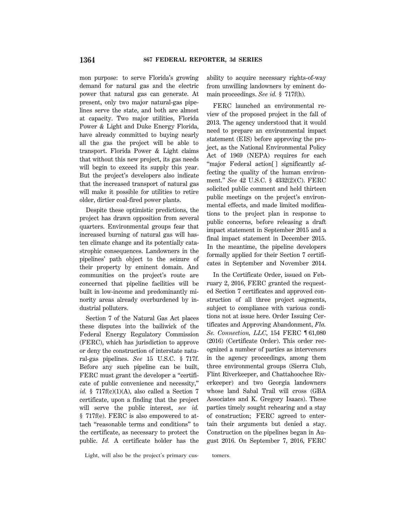mon purpose: to serve Florida's growing demand for natural gas and the electric power that natural gas can generate. At present, only two major natural-gas pipelines serve the state, and both are almost at capacity. Two major utilities, Florida Power & Light and Duke Energy Florida, have already committed to buying nearly all the gas the project will be able to transport. Florida Power & Light claims that without this new project, its gas needs will begin to exceed its supply this year. But the project's developers also indicate that the increased transport of natural gas will make it possible for utilities to retire older, dirtier coal-fired power plants.

Despite these optimistic predictions, the project has drawn opposition from several quarters. Environmental groups fear that increased burning of natural gas will hasten climate change and its potentially catastrophic consequences. Landowners in the pipelines' path object to the seizure of their property by eminent domain. And communities on the project's route are concerned that pipeline facilities will be built in low-income and predominantly minority areas already overburdened by industrial polluters.

Section 7 of the Natural Gas Act places these disputes into the bailiwick of the Federal Energy Regulatory Commission (FERC), which has jurisdiction to approve or deny the construction of interstate natural-gas pipelines. *See* 15 U.S.C. § 717f. Before any such pipeline can be built, FERC must grant the developer a "certificate of public convenience and necessity,'' *id.* §  $717f(c)(1)(A)$ , also called a Section 7 certificate, upon a finding that the project will serve the public interest, *see id.* § 717f(e). FERC is also empowered to attach ''reasonable terms and conditions'' to the certificate, as necessary to protect the public. *Id.* A certificate holder has the

ability to acquire necessary rights-of-way from unwilling landowners by eminent domain proceedings. *See id.* § 717f(h).

FERC launched an environmental review of the proposed project in the fall of 2013. The agency understood that it would need to prepare an environmental impact statement (EIS) before approving the project, as the National Environmental Policy Act of 1969 (NEPA) requires for each "major Federal action[] significantly affecting the quality of the human environment.'' *See* 42 U.S.C. § 4332(2)(C). FERC solicited public comment and held thirteen public meetings on the project's environmental effects, and made limited modifications to the project plan in response to public concerns, before releasing a draft impact statement in September 2015 and a final impact statement in December 2015. In the meantime, the pipeline developers formally applied for their Section 7 certificates in September and November 2014.

In the Certificate Order, issued on February 2, 2016, FERC granted the requested Section 7 certificates and approved construction of all three project segments, subject to compliance with various conditions not at issue here. Order Issuing Certificates and Approving Abandonment, *Fla. Se. Connection, LLC*, 154 FERC ¶ 61,080 (2016) (Certificate Order). This order recognized a number of parties as intervenors in the agency proceedings, among them three environmental groups (Sierra Club, Flint Riverkeeper, and Chattahoochee Riverkeeper) and two Georgia landowners whose land Sabal Trail will cross (GBA Associates and K. Gregory Isaacs). These parties timely sought rehearing and a stay of construction; FERC agreed to entertain their arguments but denied a stay. Construction on the pipelines began in August 2016. On September 7, 2016, FERC

Light, will also be the project's primary cus- tomers.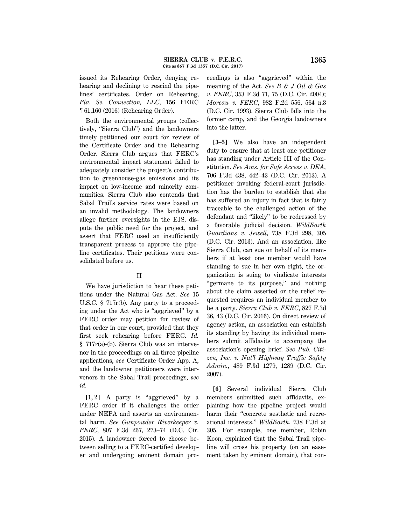issued its Rehearing Order, denying rehearing and declining to rescind the pipelines' certificates. Order on Rehearing, *Fla. Se. Connection, LLC*, 156 FERC ¶ 61,160 (2016) (Rehearing Order).

Both the environmental groups (collectively, ''Sierra Club'') and the landowners timely petitioned our court for review of the Certificate Order and the Rehearing Order. Sierra Club argues that FERC's environmental impact statement failed to adequately consider the project's contribution to greenhouse-gas emissions and its impact on low-income and minority communities. Sierra Club also contends that Sabal Trail's service rates were based on an invalid methodology. The landowners allege further oversights in the EIS, dispute the public need for the project, and assert that FERC used an insufficiently transparent process to approve the pipeline certificates. Their petitions were consolidated before us.

# II

We have jurisdiction to hear these petitions under the Natural Gas Act. *See* 15 U.S.C. § 717r(b). Any party to a proceeding under the Act who is ''aggrieved'' by a FERC order may petition for review of that order in our court, provided that they first seek rehearing before FERC. *Id.* § 717r(a)-(b). Sierra Club was an intervenor in the proceedings on all three pipeline applications, *see* Certificate Order App. A, and the landowner petitioners were intervenors in the Sabal Trail proceedings, *see id.*

**[1, 2]** A party is ''aggrieved'' by a FERC order if it challenges the order under NEPA and asserts an environmental harm. *See Gunpowder Riverkeeper v. FERC*, 807 F.3d 267, 273–74 (D.C. Cir. 2015). A landowner forced to choose between selling to a FERC-certified developer and undergoing eminent domain pro-

ceedings is also ''aggrieved'' within the meaning of the Act. *See B & J Oil & Gas v. FERC*, 353 F.3d 71, 75 (D.C. Cir. 2004); *Moreau v. FERC*, 982 F.2d 556, 564 n.3 (D.C. Cir. 1993). Sierra Club falls into the former camp, and the Georgia landowners into the latter.

**[3–5]** We also have an independent duty to ensure that at least one petitioner has standing under Article III of the Constitution. *See Ams. for Safe Access v. DEA*, 706 F.3d 438, 442–43 (D.C. Cir. 2013). A petitioner invoking federal-court jurisdiction has the burden to establish that she has suffered an injury in fact that is fairly traceable to the challenged action of the defendant and ''likely'' to be redressed by a favorable judicial decision. *WildEarth Guardians v. Jewell*, 738 F.3d 298, 305 (D.C. Cir. 2013). And an association, like Sierra Club, can sue on behalf of its members if at least one member would have standing to sue in her own right, the organization is suing to vindicate interests "germane to its purpose," and nothing about the claim asserted or the relief requested requires an individual member to be a party. *Sierra Club v. FERC*, 827 F.3d 36, 43 (D.C. Cir. 2016). On direct review of agency action, an association can establish its standing by having its individual members submit affidavits to accompany the association's opening brief. *See Pub. Citizen, Inc. v. Nat'l Highway Traffic Safety Admin.*, 489 F.3d 1279, 1289 (D.C. Cir. 2007).

**[6]** Several individual Sierra Club members submitted such affidavits, explaining how the pipeline project would harm their "concrete aesthetic and recreational interests.'' *WildEarth*, 738 F.3d at 305. For example, one member, Robin Koon, explained that the Sabal Trail pipeline will cross his property (on an easement taken by eminent domain), that con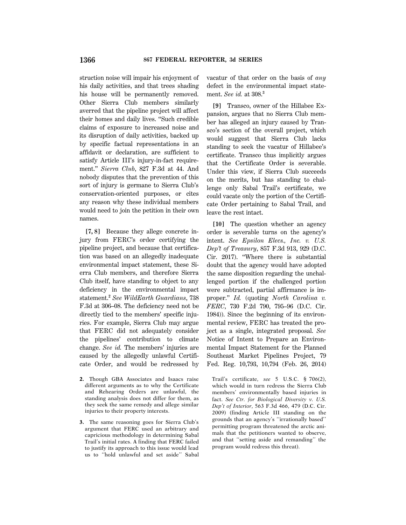struction noise will impair his enjoyment of his daily activities, and that trees shading his house will be permanently removed. Other Sierra Club members similarly averred that the pipeline project will affect their homes and daily lives. ''Such credible claims of exposure to increased noise and its disruption of daily activities, backed up by specific factual representations in an affidavit or declaration, are sufficient to satisfy Article III's injury-in-fact requirement.'' *Sierra Club*, 827 F.3d at 44. And nobody disputes that the prevention of this sort of injury is germane to Sierra Club's conservation-oriented purposes, or cites any reason why these individual members would need to join the petition in their own names.

**[7, 8]** Because they allege concrete injury from FERC's order certifying the pipeline project, and because that certification was based on an allegedly inadequate environmental impact statement, these Sierra Club members, and therefore Sierra Club itself, have standing to object to any deficiency in the environmental impact statement.**<sup>2</sup>** *See WildEarth Guardians*, 738 F.3d at 306–08. The deficiency need not be directly tied to the members' specific injuries. For example, Sierra Club may argue that FERC did not adequately consider the pipelines' contribution to climate change. *See id.* The members' injuries are caused by the allegedly unlawful Certificate Order, and would be redressed by

- **2.** Though GBA Associates and Isaacs raise different arguments as to why the Certificate and Rehearing Orders are unlawful, the standing analysis does not differ for them, as they seek the same remedy and allege similar injuries to their property interests.
- **3.** The same reasoning goes for Sierra Club's argument that FERC used an arbitrary and capricious methodology in determining Sabal Trail's initial rates. A finding that FERC failed to justify its approach to this issue would lead us to ''hold unlawful and set aside'' Sabal

vacatur of that order on the basis of *any* defect in the environmental impact statement. *See id.* at 308.**<sup>3</sup>**

**[9]** Transco, owner of the Hillabee Expansion, argues that no Sierra Club member has alleged an injury caused by Transco's section of the overall project, which would suggest that Sierra Club lacks standing to seek the vacatur of Hillabee's certificate. Transco thus implicitly argues that the Certificate Order is severable. Under this view, if Sierra Club succeeds on the merits, but has standing to challenge only Sabal Trail's certificate, we could vacate only the portion of the Certificate Order pertaining to Sabal Trail, and leave the rest intact.

**[10]** The question whether an agency order is severable turns on the agency's intent. *See Epsilon Elecs., Inc. v. U.S. Dep't of Treasury*, 857 F.3d 913, 929 (D.C. Cir. 2017). ''Where there is substantial doubt that the agency would have adopted the same disposition regarding the unchallenged portion if the challenged portion were subtracted, partial affirmance is improper.'' *Id.* (quoting *North Carolina v. FERC*, 730 F.2d 790, 795–96 (D.C. Cir. 1984)). Since the beginning of its environmental review, FERC has treated the project as a single, integrated proposal. *See* Notice of Intent to Prepare an Environmental Impact Statement for the Planned Southeast Market Pipelines Project, 79 Fed. Reg. 10,793, 10,794 (Feb. 26, 2014)

Trail's certificate, *see* 5 U.S.C. § 706(2), which would in turn redress the Sierra Club members' environmentally based injuries in fact. *See Ctr. for Biological Diversity v. U.S. Dep't of Interior*, 563 F.3d 466, 479 (D.C. Cir. 2009) (finding Article III standing on the grounds that an agency's ''irrationally based'' permitting program threatened the arctic animals that the petitioners wanted to observe, and that ''setting aside and remanding'' the program would redress this threat).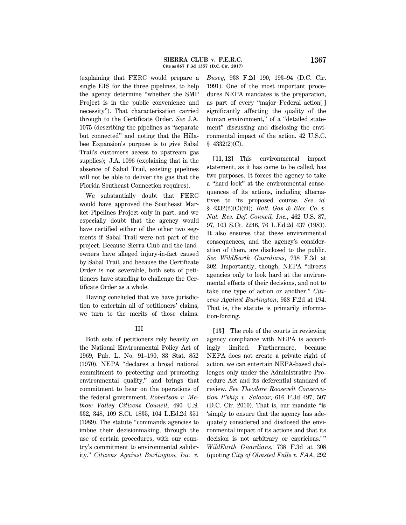(explaining that FERC would prepare a single EIS for the three pipelines, to help the agency determine ''whether the SMP Project is in the public convenience and necessity''). That characterization carried through to the Certificate Order. *See* J.A. 1075 (describing the pipelines as ''separate but connected'' and noting that the Hillabee Expansion's purpose is to give Sabal Trail's customers access to upstream gas supplies); J.A. 1096 (explaining that in the absence of Sabal Trail, existing pipelines will not be able to deliver the gas that the Florida Southeast Connection requires).

We substantially doubt that FERC would have approved the Southeast Market Pipelines Project only in part, and we especially doubt that the agency would have certified either of the other two segments if Sabal Trail were not part of the project. Because Sierra Club and the landowners have alleged injury-in-fact caused by Sabal Trail, and because the Certificate Order is not severable, both sets of petitioners have standing to challenge the Certificate Order as a whole.

Having concluded that we have jurisdiction to entertain all of petitioners' claims, we turn to the merits of those claims.

# III

Both sets of petitioners rely heavily on the National Environmental Policy Act of 1969, Pub. L. No. 91–190, 83 Stat. 852 (1970). NEPA ''declares a broad national commitment to protecting and promoting environmental quality,'' and brings that commitment to bear on the operations of the federal government. *Robertson v. Methow Valley Citizens Council*, 490 U.S. 332, 348, 109 S.Ct. 1835, 104 L.Ed.2d 351 (1989). The statute ''commands agencies to imbue their decisionmaking, through the use of certain procedures, with our country's commitment to environmental salubrity.'' *Citizens Against Burlington, Inc. v.*

*Busey*, 938 F.2d 190, 193–94 (D.C. Cir. 1991). One of the most important procedures NEPA mandates is the preparation, as part of every ''major Federal action[ ] significantly affecting the quality of the human environment," of a "detailed statement'' discussing and disclosing the environmental impact of the action. 42 U.S.C. § 4332(2)(C).

**[11, 12]** This environmental impact statement, as it has come to be called, has two purposes. It forces the agency to take a ''hard look'' at the environmental consequences of its actions, including alternatives to its proposed course. *See id.* § 4332(2)(C)(iii); *Balt. Gas & Elec. Co. v. Nat. Res. Def. Council, Inc.*, 462 U.S. 87, 97, 103 S.Ct. 2246, 76 L.Ed.2d 437 (1983). It also ensures that these environmental consequences, and the agency's consideration of them, are disclosed to the public. *See WildEarth Guardians*, 738 F.3d at 302. Importantly, though, NEPA ''directs agencies only to look hard at the environmental effects of their decisions, and not to take one type of action or another.'' *Citizens Against Burlington*, 938 F.2d at 194. That is, the statute is primarily information-forcing.

**[13]** The role of the courts in reviewing agency compliance with NEPA is accordingly limited. Furthermore, because NEPA does not create a private right of action, we can entertain NEPA-based challenges only under the Administrative Procedure Act and its deferential standard of review. *See Theodore Roosevelt Conservation P'ship v. Salazar*, 616 F.3d 497, 507 (D.C. Cir. 2010). That is, our mandate ''is 'simply to ensure that the agency has adequately considered and disclosed the environmental impact of its actions and that its decision is not arbitrary or capricious.' '' *WildEarth Guardians*, 738 F.3d at 308 (quoting *City of Olmsted Falls v. FAA*, 292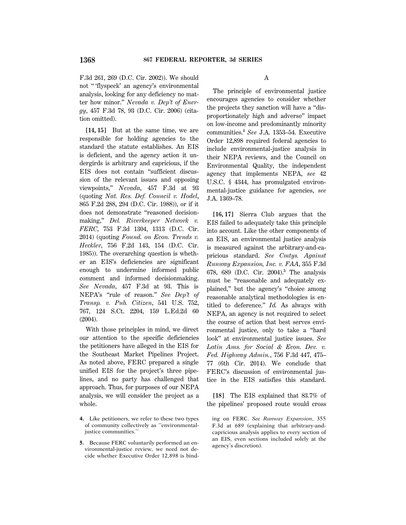F.3d 261, 269 (D.C. Cir. 2002)). We should not '' 'flyspeck' an agency's environmental analysis, looking for any deficiency no matter how minor.'' *Nevada v. Dep't of Energy*, 457 F.3d 78, 93 (D.C. Cir. 2006) (citation omitted).

**[14, 15]** But at the same time, we are responsible for holding agencies to the standard the statute establishes. An EIS is deficient, and the agency action it undergirds is arbitrary and capricious, if the EIS does not contain ''sufficient discussion of the relevant issues and opposing viewpoints,'' *Nevada*, 457 F.3d at 93 (quoting *Nat. Res. Def. Council v. Hodel*, 865 F.2d 288, 294 (D.C. Cir. 1988)), or if it does not demonstrate ''reasoned decisionmaking,'' *Del. Riverkeeper Network v. FERC*, 753 F.3d 1304, 1313 (D.C. Cir. 2014) (quoting *Found. on Econ. Trends v. Heckler*, 756 F.2d 143, 154 (D.C. Cir. 1985)). The overarching question is whether an EIS's deficiencies are significant enough to undermine informed public comment and informed decisionmaking. *See Nevada*, 457 F.3d at 93. This is NEPA's ''rule of reason.'' *See Dep't of Transp. v. Pub. Citizen*, 541 U.S. 752, 767, 124 S.Ct. 2204, 159 L.Ed.2d 60 (2004).

With those principles in mind, we direct our attention to the specific deficiencies the petitioners have alleged in the EIS for the Southeast Market Pipelines Project. As noted above, FERC prepared a single unified EIS for the project's three pipelines, and no party has challenged that approach. Thus, for purposes of our NEPA analysis, we will consider the project as a whole.

- **4.** Like petitioners, we refer to these two types of community collectively as ''environmentaljustice communities.''
- **5.** Because FERC voluntarily performed an environmental-justice review, we need not decide whether Executive Order 12,898 is bind-

A

The principle of environmental justice encourages agencies to consider whether the projects they sanction will have a ''disproportionately high and adverse'' impact on low-income and predominantly minority communities.**<sup>4</sup>** *See* J.A. 1353–54. Executive Order 12,898 required federal agencies to include environmental-justice analysis in their NEPA reviews, and the Council on Environmental Quality, the independent agency that implements NEPA, *see* 42 U.S.C. § 4344, has promulgated environmental-justice guidance for agencies, *see* J.A. 1369–78.

**[16, 17]** Sierra Club argues that the EIS failed to adequately take this principle into account. Like the other components of an EIS, an environmental justice analysis is measured against the arbitrary-and-capricious standard. *See Cmtys. Against Runway Expansion, Inc. v. FAA*, 355 F.3d 678, 689 (D.C. Cir. 2004).**<sup>5</sup>** The analysis must be "reasonable and adequately explained,'' but the agency's ''choice among reasonable analytical methodologies is entitled to deference.'' *Id.* As always with NEPA, an agency is not required to select the course of action that best serves environmental justice, only to take a ''hard look'' at environmental justice issues. *See Latin Ams. for Social & Econ. Dev. v. Fed. Highway Admin.*, 756 F.3d 447, 475– 77 (6th Cir. 2014). We conclude that FERC's discussion of environmental justice in the EIS satisfies this standard.

**[18]** The EIS explained that 83.7% of the pipelines' proposed route would cross

ing on FERC. *See Runway Expansion*, 355 F.3d at 689 (explaining that arbitrary-andcapricious analysis applies to every section of an EIS, even sections included solely at the agency's discretion).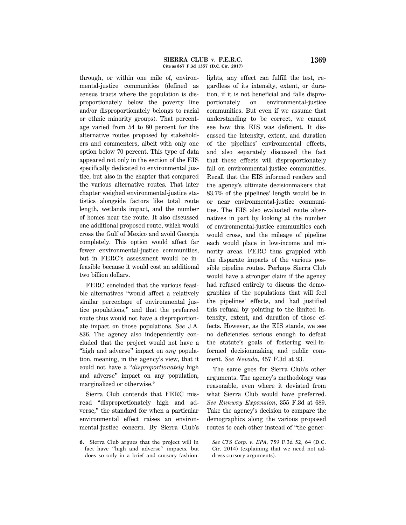through, or within one mile of, environmental-justice communities (defined as census tracts where the population is disproportionately below the poverty line and/or disproportionately belongs to racial or ethnic minority groups). That percentage varied from 54 to 80 percent for the alternative routes proposed by stakeholders and commenters, albeit with only one option below 70 percent. This type of data appeared not only in the section of the EIS specifically dedicated to environmental justice, but also in the chapter that compared the various alternative routes. That later chapter weighed environmental-justice statistics alongside factors like total route length, wetlands impact, and the number of homes near the route. It also discussed one additional proposed route, which would cross the Gulf of Mexico and avoid Georgia completely. This option would affect far fewer environmental-justice communities, but in FERC's assessment would be infeasible because it would cost an additional two billion dollars.

FERC concluded that the various feasible alternatives ''would affect a relatively similar percentage of environmental justice populations,'' and that the preferred route thus would not have a disproportionate impact on those populations. *See* J.A. 836. The agency also independently concluded that the project would not have a ''high and adverse'' impact on *any* population, meaning, in the agency's view, that it could not have a ''*disproportionately* high and adverse'' impact on any population, marginalized or otherwise.**<sup>6</sup>**

Sierra Club contends that FERC misread ''disproportionately high and adverse,'' the standard for when a particular environmental effect raises an environmental-justice concern. By Sierra Club's

**6.** Sierra Club argues that the project will in fact have ''high and adverse'' impacts, but does so only in a brief and cursory fashion.

lights, any effect can fulfill the test, regardless of its intensity, extent, or duration, if it is not beneficial and falls disproportionately on environmental-justice communities. But even if we assume that understanding to be correct, we cannot see how this EIS was deficient. It discussed the intensity, extent, and duration of the pipelines' environmental effects, and also separately discussed the fact that those effects will disproportionately fall on environmental-justice communities. Recall that the EIS informed readers and the agency's ultimate decisionmakers that 83.7% of the pipelines' length would be in or near environmental-justice communities. The EIS also evaluated route alternatives in part by looking at the number of environmental-justice communities each would cross, and the mileage of pipeline each would place in low-income and minority areas. FERC thus grappled with the disparate impacts of the various possible pipeline routes. Perhaps Sierra Club would have a stronger claim if the agency had refused entirely to discuss the demographics of the populations that will feel the pipelines' effects, and had justified this refusal by pointing to the limited intensity, extent, and duration of those effects. However, as the EIS stands, we see no deficiencies serious enough to defeat the statute's goals of fostering well-informed decisionmaking and public comment. *See Nevada*, 457 F.3d at 93.

The same goes for Sierra Club's other arguments. The agency's methodology was reasonable, even where it deviated from what Sierra Club would have preferred. *See Runway Expansion*, 355 F.3d at 689. Take the agency's decision to compare the demographics along the various proposed routes to each other instead of ''the gener-

*See CTS Corp. v. EPA*, 759 F.3d 52, 64 (D.C. Cir. 2014) (explaining that we need not address cursory arguments).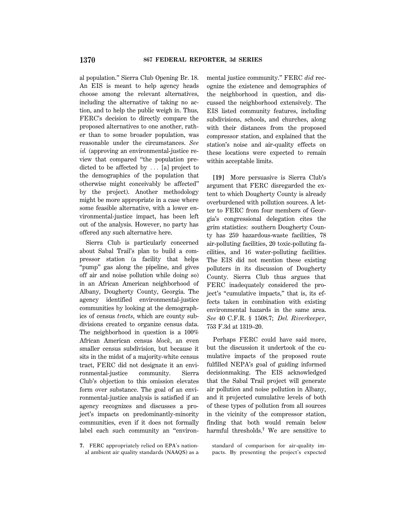al population.'' Sierra Club Opening Br. 18. An EIS is meant to help agency heads choose among the relevant alternatives, including the alternative of taking no action, and to help the public weigh in. Thus, FERC's decision to directly compare the proposed alternatives to one another, rather than to some broader population, was reasonable under the circumstances. *See id.* (approving an environmental-justice review that compared ''the population predicted to be affected by  $\ldots$  [a] project to the demographics of the population that otherwise might conceivably be affected'' by the project). Another methodology might be more appropriate in a case where some feasible alternative, with a lower environmental-justice impact, has been left out of the analysis. However, no party has offered any such alternative here.

Sierra Club is particularly concerned about Sabal Trail's plan to build a compressor station (a facility that helps ''pump'' gas along the pipeline, and gives off air and noise pollution while doing so) in an African American neighborhood of Albany, Dougherty County, Georgia. The agency identified environmental-justice communities by looking at the demographics of census *tracts*, which are county subdivisions created to organize census data. The neighborhood in question is a 100% African American census *block*, an even smaller census subdivision, but because it sits in the midst of a majority-white census tract, FERC did not designate it an environmental-justice community. Sierra Club's objection to this omission elevates form over substance. The goal of an environmental-justice analysis is satisfied if an agency recognizes and discusses a project's impacts on predominantly-minority communities, even if it does not formally label each such community an ''environ-

**7.** FERC appropriately relied on EPA's national ambient air quality standards (NAAQS) as a mental justice community.'' FERC *did* recognize the existence and demographics of the neighborhood in question, and discussed the neighborhood extensively. The EIS listed community features, including subdivisions, schools, and churches, along with their distances from the proposed compressor station, and explained that the station's noise and air-quality effects on these locations were expected to remain within acceptable limits.

**[19]** More persuasive is Sierra Club's argument that FERC disregarded the extent to which Dougherty County is already overburdened with pollution sources. A letter to FERC from four members of Georgia's congressional delegation cites the grim statistics: southern Dougherty County has 259 hazardous-waste facilities, 78 air-polluting facilities, 20 toxic-polluting facilities, and 16 water-polluting facilities. The EIS did not mention these existing polluters in its discussion of Dougherty County. Sierra Club thus argues that FERC inadequately considered the project's ''cumulative impacts,'' that is, its effects taken in combination with existing environmental hazards in the same area. *See* 40 C.F.R. § 1508.7; *Del. Riverkeeper*, 753 F.3d at 1319–20.

Perhaps FERC could have said more, but the discussion it undertook of the cumulative impacts of the proposed route fulfilled NEPA's goal of guiding informed decisionmaking. The EIS acknowledged that the Sabal Trail project will generate air pollution and noise pollution in Albany, and it projected cumulative levels of both of these types of pollution from all sources in the vicinity of the compressor station, finding that both would remain below harmful thresholds.**<sup>7</sup>** We are sensitive to

standard of comparison for air-quality impacts. By presenting the project's expected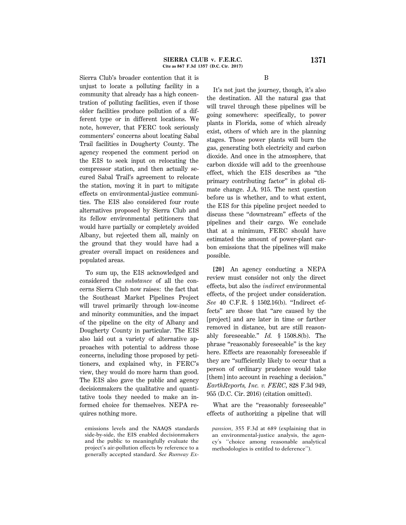Sierra Club's broader contention that it is unjust to locate a polluting facility in a community that already has a high concentration of polluting facilities, even if those older facilities produce pollution of a different type or in different locations. We note, however, that FERC took seriously commenters' concerns about locating Sabal Trail facilities in Dougherty County. The agency reopened the comment period on the EIS to seek input on relocating the compressor station, and then actually secured Sabal Trail's agreement to relocate the station, moving it in part to mitigate effects on environmental-justice communities. The EIS also considered four route alternatives proposed by Sierra Club and its fellow environmental petitioners that would have partially or completely avoided Albany, but rejected them all, mainly on the ground that they would have had a greater overall impact on residences and populated areas.

To sum up, the EIS acknowledged and considered the *substance* of all the concerns Sierra Club now raises: the fact that the Southeast Market Pipelines Project will travel primarily through low-income and minority communities, and the impact of the pipeline on the city of Albany and Dougherty County in particular. The EIS also laid out a variety of alternative approaches with potential to address those concerns, including those proposed by petitioners, and explained why, in FERC's view, they would do more harm than good. The EIS also gave the public and agency decisionmakers the qualitative and quantitative tools they needed to make an informed choice for themselves. NEPA requires nothing more.

emissions levels and the NAAQS standards side-by-side, the EIS enabled decisionmakers and the public to meaningfully evaluate the project's air-pollution effects by reference to a generally accepted standard. *See Runway Ex*- B

It's not just the journey, though, it's also the destination. All the natural gas that will travel through these pipelines will be going somewhere: specifically, to power plants in Florida, some of which already exist, others of which are in the planning stages. Those power plants will burn the gas, generating both electricity and carbon dioxide. And once in the atmosphere, that carbon dioxide will add to the greenhouse effect, which the EIS describes as ''the primary contributing factor'' in global climate change. J.A. 915. The next question before us is whether, and to what extent, the EIS for this pipeline project needed to discuss these ''downstream'' effects of the pipelines and their cargo. We conclude that at a minimum, FERC should have estimated the amount of power-plant carbon emissions that the pipelines will make possible.

**[20]** An agency conducting a NEPA review must consider not only the direct effects, but also the *indirect* environmental effects, of the project under consideration. *See* 40 C.F.R. § 1502.16(b). ''Indirect effects'' are those that ''are caused by the [project] and are later in time or farther removed in distance, but are still reasonably foreseeable.'' *Id.* § 1508.8(b). The phrase ''reasonably foreseeable'' is the key here. Effects are reasonably foreseeable if they are ''sufficiently likely to occur that a person of ordinary prudence would take [them] into account in reaching a decision.'' *EarthReports, Inc. v. FERC*, 828 F.3d 949, 955 (D.C. Cir. 2016) (citation omitted).

What are the "reasonably foreseeable" effects of authorizing a pipeline that will

*pansion*, 355 F.3d at 689 (explaining that in an environmental-justice analysis, the agency's ''choice among reasonable analytical methodologies is entitled to deference'').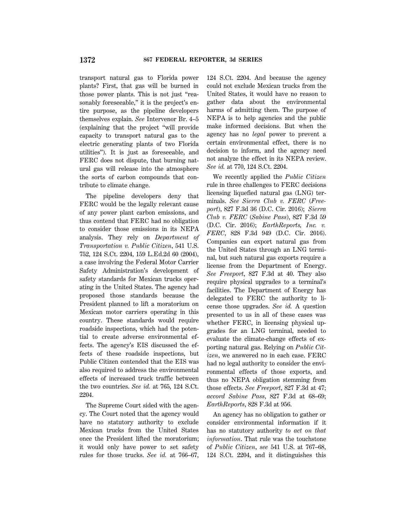transport natural gas to Florida power plants? First, that gas will be burned in those power plants. This is not just ''reasonably fore seeable," it is the project's entire purpose, as the pipeline developers themselves explain. *See* Intervenor Br. 4–5 (explaining that the project ''will provide capacity to transport natural gas to the electric generating plants of two Florida utilities''). It is just as foreseeable, and FERC does not dispute, that burning natural gas will release into the atmosphere the sorts of carbon compounds that contribute to climate change.

The pipeline developers deny that FERC would be the legally relevant cause of any power plant carbon emissions, and thus contend that FERC had no obligation to consider those emissions in its NEPA analysis. They rely on *Department of Transportation v. Public Citizen*, 541 U.S. 752, 124 S.Ct. 2204, 159 L.Ed.2d 60 (2004), a case involving the Federal Motor Carrier Safety Administration's development of safety standards for Mexican trucks operating in the United States. The agency had proposed those standards because the President planned to lift a moratorium on Mexican motor carriers operating in this country. These standards would require roadside inspections, which had the potential to create adverse environmental effects. The agency's EIS discussed the effects of these roadside inspections, but Public Citizen contended that the EIS was also required to address the environmental effects of increased truck traffic between the two countries. *See id.* at 765, 124 S.Ct. 2204.

The Supreme Court sided with the agency. The Court noted that the agency would have no statutory authority to exclude Mexican trucks from the United States once the President lifted the moratorium; it would only have power to set safety rules for those trucks. *See id.* at 766–67, 124 S.Ct. 2204. And because the agency could not exclude Mexican trucks from the United States, it would have no reason to gather data about the environmental harms of admitting them. The purpose of NEPA is to help agencies and the public make informed decisions. But when the agency has no *legal* power to prevent a certain environmental effect, there is no decision to inform, and the agency need not analyze the effect in its NEPA review. *See id.* at 770, 124 S.Ct. 2204.

We recently applied the *Public Citizen* rule in three challenges to FERC decisions licensing liquefied natural gas (LNG) terminals. *See Sierra Club v. FERC* (*Freeport*), 827 F.3d 36 (D.C. Cir. 2016); *Sierra Club v. FERC* (*Sabine Pass*), 827 F.3d 59 (D.C. Cir. 2016); *EarthReports, Inc. v. FERC*, 828 F.3d 949 (D.C. Cir. 2016). Companies can export natural gas from the United States through an LNG terminal, but such natural gas exports require a license from the Department of Energy. *See Freeport*, 827 F.3d at 40. They also require physical upgrades to a terminal's facilities. The Department of Energy has delegated to FERC the authority to license those upgrades. *See id.* A question presented to us in all of these cases was whether FERC, in licensing physical upgrades for an LNG terminal, needed to evaluate the climate-change effects of exporting natural gas. Relying on *Public Citizen*, we answered no in each case. FERC had no legal authority to consider the environmental effects of those exports, and thus no NEPA obligation stemming from those effects. *See Freeport*, 827 F.3d at 47; *accord Sabine Pass*, 827 F.3d at 68–69; *EarthReports*, 828 F.3d at 956.

An agency has no obligation to gather or consider environmental information if it has no statutory authority *to act on that information*. That rule was the touchstone of *Public Citizen*, *see* 541 U.S. at 767–68, 124 S.Ct. 2204, and it distinguishes this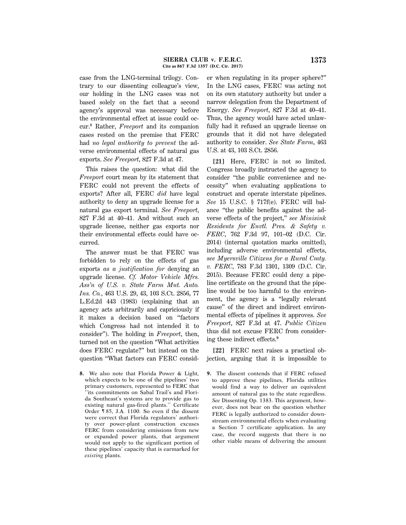case from the LNG-terminal trilogy. Contrary to our dissenting colleague's view, our holding in the LNG cases was not based solely on the fact that a second agency's approval was necessary before the environmental effect at issue could occur.**<sup>8</sup>** Rather, *Freeport* and its companion cases rested on the premise that FERC had *no legal authority to prevent* the adverse environmental effects of natural gas exports. *See Freeport*, 827 F.3d at 47.

This raises the question: what did the *Freeport* court mean by its statement that FERC could not prevent the effects of exports? After all, FERC *did* have legal authority to deny an upgrade license for a natural gas export terminal. *See Freeport*, 827 F.3d at 40–41. And without such an upgrade license, neither gas exports nor their environmental effects could have occurred.

The answer must be that FERC was forbidden to rely on the effects of gas exports *as a justification for* denying an upgrade license. *Cf. Motor Vehicle Mfrs. Ass'n of U.S. v. State Farm Mut. Auto. Ins. Co.*, 463 U.S. 29, 43, 103 S.Ct. 2856, 77 L.Ed.2d 443 (1983) (explaining that an agency acts arbitrarily and capriciously if it makes a decision based on ''factors which Congress had not intended it to consider''). The holding in *Freeport*, then, turned not on the question ''What activities does FERC regulate?'' but instead on the question ''What factors can FERC consid-

**8.** We also note that Florida Power & Light, which expects to be one of the pipelines' two primary customers, represented to FERC that ''its commitments on Sabal Trail's and Florida Southeast's systems are to provide gas to existing natural gas-fired plants.'' Certificate Order ¶ 85, J.A. 1100. So even if the dissent were correct that Florida regulators' authority over power-plant construction excuses FERC from considering emissions from new or expanded power plants, that argument would not apply to the significant portion of these pipelines' capacity that is earmarked for *existing* plants.

er when regulating in its proper sphere?'' In the LNG cases, FERC was acting not on its own statutory authority but under a narrow delegation from the Department of Energy. *See Freeport*, 827 F.3d at 40–41. Thus, the agency would have acted unlawfully had it refused an upgrade license on grounds that it did not have delegated authority to consider. *See State Farm*, 463 U.S. at 43, 103 S.Ct. 2856.

**[21]** Here, FERC is not so limited. Congress broadly instructed the agency to consider ''the public convenience and necessity'' when evaluating applications to construct and operate interstate pipelines. *See* 15 U.S.C. § 717f(e). FERC will balance ''the public benefits against the adverse effects of the project,'' *see Minisink Residents for Envtl. Pres. & Safety v. FERC*, 762 F.3d 97, 101–02 (D.C. Cir. 2014) (internal quotation marks omitted), including adverse environmental effects, *see Myersville Citizens for a Rural Cmty. v. FERC*, 783 F.3d 1301, 1309 (D.C. Cir. 2015). Because FERC could deny a pipeline certificate on the ground that the pipeline would be too harmful to the environment, the agency is a ''legally relevant cause'' of the direct and indirect environmental effects of pipelines it approves. *See Freeport*, 827 F.3d at 47. *Public Citizen* thus did not excuse FERC from considering these indirect effects.**<sup>9</sup>**

**[22]** FERC next raises a practical objection, arguing that it is impossible to

**9.** The dissent contends that if FERC refused to approve these pipelines, Florida utilities would find a way to deliver an equivalent amount of natural gas to the state regardless. *See* Dissenting Op. 1383. This argument, however, does not bear on the question whether FERC is legally authorized to consider downstream environmental effects when evaluating a Section 7 certificate application. In any case, the record suggests that there is no other viable means of delivering the amount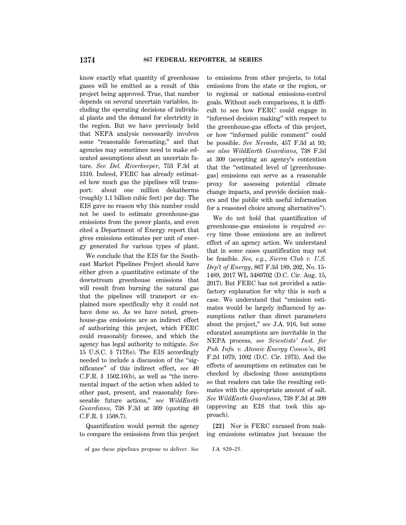know exactly what quantity of greenhouse gases will be emitted as a result of this project being approved. True, that number depends on several uncertain variables, including the operating decisions of individual plants and the demand for electricity in the region. But we have previously held that NEPA analysis necessarily involves some "reasonable forecasting," and that agencies may sometimes need to make educated assumptions about an uncertain future. *See Del. Riverkeeper*, 753 F.3d at 1310. Indeed, FERC has already estimated how much gas the pipelines will transport: about one million dekatherms (roughly 1.1 billion cubic feet) per day. The EIS gave no reason why this number could not be used to estimate greenhouse-gas emissions from the power plants, and even cited a Department of Energy report that gives emissions estimates per unit of energy generated for various types of plant.

We conclude that the EIS for the Southeast Market Pipelines Project should have either given a quantitative estimate of the downstream greenhouse emissions that will result from burning the natural gas that the pipelines will transport or explained more specifically why it could not have done so. As we have noted, greenhouse-gas emissions are an indirect effect of authorizing this project, which FERC could reasonably foresee, and which the agency has legal authority to mitigate. *See* 15 U.S.C. § 717f(e). The EIS accordingly needed to include a discussion of the ''significance'' of this indirect effect, *see* 40 C.F.R.  $\S$  1502.16(b), as well as "the incremental impact of the action when added to other past, present, and reasonably foreseeable future actions,'' *see WildEarth Guardians*, 738 F.3d at 309 (quoting 40 C.F.R. § 1508.7).

Quantification would permit the agency to compare the emissions from this project

of gas these pipelines propose to deliver. *See* J.A. 920–25.

to emissions from other projects, to total emissions from the state or the region, or to regional or national emissions-control goals. Without such comparisons, it is difficult to see how FERC could engage in ''informed decision making'' with respect to the greenhouse-gas effects of this project, or how ''informed public comment'' could be possible. *See Nevada*, 457 F.3d at 93; *see also WildEarth Guardians*, 738 F.3d at 309 (accepting an agency's contention that the ''estimated level of [greenhousegas] emissions can serve as a reasonable proxy for assessing potential climate change impacts, and provide decision makers and the public with useful information for a reasoned choice among alternatives'').

We do not hold that quantification of greenhouse-gas emissions is required *every* time those emissions are an indirect effect of an agency action. We understand that in some cases quantification may not be feasible. *See, e.g.*, *Sierra Club v. U.S. Dep't of Energy*, 867 F.3d 189, 202, No. 15- 1489, 2017 WL 3480702 (D.C. Cir. Aug. 15, 2017). But FERC has not provided a satisfactory explanation for why this is such a case. We understand that ''emission estimates would be largely influenced by assumptions rather than direct parameters about the project,'' *see* J.A. 916, but some educated assumptions are inevitable in the NEPA process, *see Scientists' Inst. for Pub. Info. v. Atomic Energy Comm'n*, 481 F.2d 1079, 1092 (D.C. Cir. 1973). And the effects of assumptions on estimates can be checked by disclosing those assumptions so that readers can take the resulting estimates with the appropriate amount of salt. *See WildEarth Guardians*, 738 F.3d at 309 (approving an EIS that took this approach).

**[23]** Nor is FERC excused from making emissions estimates just because the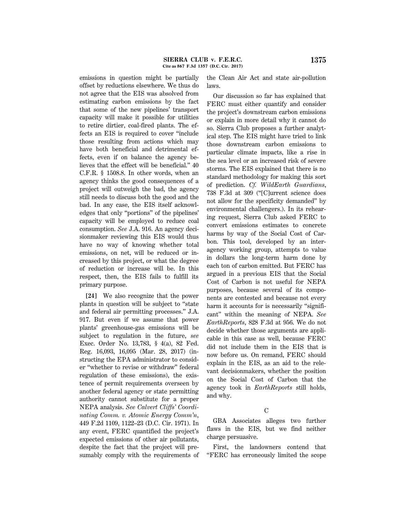emissions in question might be partially offset by reductions elsewhere. We thus do not agree that the EIS was absolved from estimating carbon emissions by the fact that some of the new pipelines' transport capacity will make it possible for utilities to retire dirtier, coal-fired plants. The effects an EIS is required to cover ''include those resulting from actions which may have both beneficial and detrimental effects, even if on balance the agency believes that the effect will be beneficial.'' 40 C.F.R. § 1508.8. In other words, when an agency thinks the good consequences of a project will outweigh the bad, the agency still needs to discuss both the good and the bad. In any case, the EIS itself acknowledges that only ''portions'' of the pipelines' capacity will be employed to reduce coal consumption. *See* J.A. 916. An agency decisionmaker reviewing this EIS would thus have no way of knowing whether total emissions, on net, will be reduced or increased by this project, or what the degree of reduction or increase will be. In this respect, then, the EIS fails to fulfill its primary purpose.

**[24]** We also recognize that the power plants in question will be subject to ''state and federal air permitting processes.'' J.A. 917. But even if we assume that power plants' greenhouse-gas emissions will be subject to regulation in the future, *see* Exec. Order No. 13,783, § 4(a), 82 Fed. Reg. 16,093, 16,095 (Mar. 28, 2017) (instructing the EPA administrator to consider ''whether to revise or withdraw'' federal regulation of these emissions), the existence of permit requirements overseen by another federal agency or state permitting authority cannot substitute for a proper NEPA analysis. *See Calvert Cliffs' Coordinating Comm. v. Atomic Energy Comm'n*, 449 F.2d 1109, 1122–23 (D.C. Cir. 1971). In any event, FERC quantified the project's expected emissions of other air pollutants, despite the fact that the project will presumably comply with the requirements of

the Clean Air Act and state air-pollution laws.

Our discussion so far has explained that FERC must either quantify and consider the project's downstream carbon emissions or explain in more detail why it cannot do so. Sierra Club proposes a further analytical step. The EIS might have tried to link those downstream carbon emissions to particular climate impacts, like a rise in the sea level or an increased risk of severe storms. The EIS explained that there is no standard methodology for making this sort of prediction. *Cf. WildEarth Guardians*, 738 F.3d at 309 (''[C]urrent science does not allow for the specificity demanded'' by environmental challengers.). In its rehearing request, Sierra Club asked FERC to convert emissions estimates to concrete harms by way of the Social Cost of Carbon. This tool, developed by an interagency working group, attempts to value in dollars the long-term harm done by each ton of carbon emitted. But FERC has argued in a previous EIS that the Social Cost of Carbon is not useful for NEPA purposes, because several of its components are contested and because not every harm it accounts for is necessarily "significant'' within the meaning of NEPA. *See EarthReports*, 828 F.3d at 956. We do not decide whether those arguments are applicable in this case as well, because FERC did not include them in the EIS that is now before us. On remand, FERC should explain in the EIS, as an aid to the relevant decisionmakers, whether the position on the Social Cost of Carbon that the agency took in *EarthReports* still holds, and why.

# C

GBA Associates alleges two further flaws in the EIS, but we find neither charge persuasive.

First, the landowners contend that ''FERC has erroneously limited the scope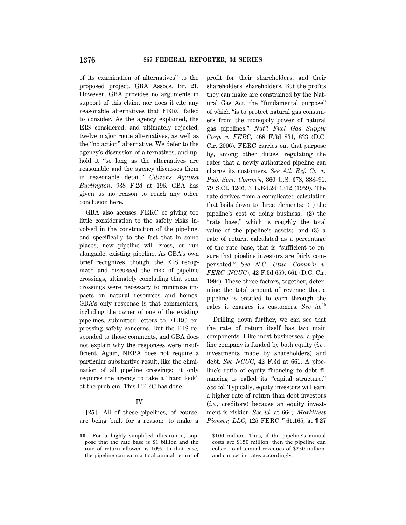of its examination of alternatives'' to the proposed project. GBA Assocs. Br. 21. However, GBA provides no arguments in support of this claim, nor does it cite any reasonable alternatives that FERC failed to consider. As the agency explained, the EIS considered, and ultimately rejected, twelve major route alternatives, as well as the ''no action'' alternative. We defer to the agency's discussion of alternatives, and uphold it "so long as the alternatives are reasonable and the agency discusses them in reasonable detail.'' *Citizens Against Burlington*, 938 F.2d at 196. GBA has given us no reason to reach any other conclusion here.

GBA also accuses FERC of giving too little consideration to the safety risks involved in the construction of the pipeline, and specifically to the fact that in some places, new pipeline will cross, or run alongside, existing pipeline. As GBA's own brief recognizes, though, the EIS recognized and discussed the risk of pipeline crossings, ultimately concluding that some crossings were necessary to minimize impacts on natural resources and homes. GBA's only response is that commenters, including the owner of one of the existing pipelines, submitted letters to FERC expressing safety concerns. But the EIS responded to those comments, and GBA does not explain why the responses were insufficient. Again, NEPA does not require a particular substantive result, like the elimination of all pipeline crossings; it only requires the agency to take a ''hard look'' at the problem. This FERC has done.

#### IV

**[25]** All of these pipelines, of course, are being built for a reason: to make a

**10.** For a highly simplified illustration, suppose that the rate base is \$1 billion and the rate of return allowed is 10%. In that case, the pipeline can earn a total annual return of profit for their shareholders, and their shareholders' shareholders. But the profits they can make are constrained by the Natural Gas Act, the ''fundamental purpose'' of which ''is to protect natural gas consumers from the monopoly power of natural gas pipelines.'' *Nat'l Fuel Gas Supply Corp. v. FERC*, 468 F.3d 831, 833 (D.C. Cir. 2006). FERC carries out that purpose by, among other duties, regulating the rates that a newly authorized pipeline can charge its customers. *See Atl. Ref. Co. v. Pub. Serv. Comm'n*, 360 U.S. 378, 388–91, 79 S.Ct. 1246, 3 L.Ed.2d 1312 (1959). The rate derives from a complicated calculation that boils down to three elements: (1) the pipeline's cost of doing business; (2) the "rate base," which is roughly the total value of the pipeline's assets; and (3) a rate of return, calculated as a percentage of the rate base, that is ''sufficient to ensure that pipeline investors are fairly compensated.'' *See N.C. Utils. Comm'n v. FERC* (*NCUC*), 42 F.3d 659, 661 (D.C. Cir. 1994). These three factors, together, determine the total amount of revenue that a pipeline is entitled to earn through the rates it charges its customers. *See id.***<sup>10</sup>**

Drilling down further, we can see that the rate of return itself has two main components. Like most businesses, a pipeline company is funded by both equity (*i.e.*, investments made by shareholders) and debt. *See NCUC*, 42 F.3d at 661. A pipeline's ratio of equity financing to debt financing is called its "capital structure." *See id.* Typically, equity investors will earn a higher rate of return than debt investors (*i.e.*, creditors) because an equity investment is riskier. *See id.* at 664; *MarkWest Pioneer, LLC*, 125 FERC 161,165, at 127

\$100 million. Thus, if the pipeline's annual costs are \$150 million, then the pipeline can collect total annual revenues of \$250 million, and can set its rates accordingly.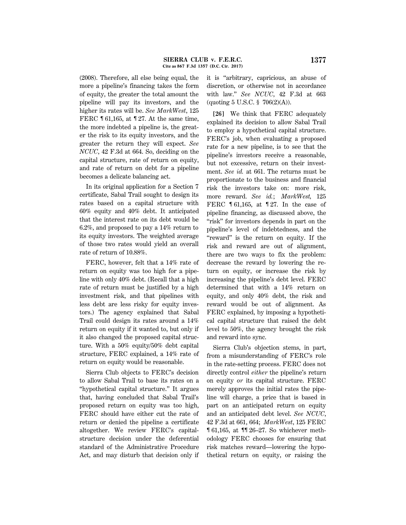(2008). Therefore, all else being equal, the more a pipeline's financing takes the form of equity, the greater the total amount the pipeline will pay its investors, and the higher its rates will be. *See MarkWest*, 125 FERC ¶ 61,165, at ¶ 27. At the same time, the more indebted a pipeline is, the greater the risk to its equity investors, and the greater the return they will expect. *See NCUC*, 42 F.3d at 664. So, deciding on the capital structure, rate of return on equity, and rate of return on debt for a pipeline becomes a delicate balancing act.

In its original application for a Section 7 certificate, Sabal Trail sought to design its rates based on a capital structure with 60% equity and 40% debt. It anticipated that the interest rate on its debt would be 6.2%, and proposed to pay a 14% return to its equity investors. The weighted average of those two rates would yield an overall rate of return of 10.88%.

FERC, however, felt that a 14% rate of return on equity was too high for a pipeline with only 40% debt. (Recall that a high rate of return must be justified by a high investment risk, and that pipelines with less debt are less risky for equity investors.) The agency explained that Sabal Trail could design its rates around a 14% return on equity if it wanted to, but only if it also changed the proposed capital structure. With a 50% equity/50% debt capital structure, FERC explained, a 14% rate of return on equity would be reasonable.

Sierra Club objects to FERC's decision to allow Sabal Trail to base its rates on a ''hypothetical capital structure.'' It argues that, having concluded that Sabal Trail's proposed return on equity was too high, FERC should have either cut the rate of return or denied the pipeline a certificate altogether. We review FERC's capitalstructure decision under the deferential standard of the Administrative Procedure Act, and may disturb that decision only if it is ''arbitrary, capricious, an abuse of discretion, or otherwise not in accordance with law.'' *See NCUC*, 42 F.3d at 663 (quoting 5 U.S.C. § 706(2)(A)).

**[26]** We think that FERC adequately explained its decision to allow Sabal Trail to employ a hypothetical capital structure. FERC's job, when evaluating a proposed rate for a new pipeline, is to see that the pipeline's investors receive a reasonable, but not excessive, return on their investment. *See id.* at 661. The returns must be proportionate to the business and financial risk the investors take on: more risk, more reward. *See id.*; *MarkWest,* 125 FERC ¶ 61,165, at ¶ 27. In the case of pipeline financing, as discussed above, the "risk" for investors depends in part on the pipeline's level of indebtedness, and the ''reward'' is the return on equity. If the risk and reward are out of alignment, there are two ways to fix the problem: decrease the reward by lowering the return on equity, or increase the risk by increasing the pipeline's debt level. FERC determined that with a 14% return on equity, and only 40% debt, the risk and reward would be out of alignment. As FERC explained, by imposing a hypothetical capital structure that raised the debt level to 50%, the agency brought the risk and reward into sync.

Sierra Club's objection stems, in part, from a misunderstanding of FERC's role in the rate-setting process. FERC does not directly control *either* the pipeline's return on equity *or* its capital structure. FERC merely approves the initial rates the pipeline will charge, a price that is based in part on an anticipated return on equity and an anticipated debt level. *See NCUC*, 42 F.3d at 661, 664; *MarkWest*, 125 FERC ¶ 61,165, at ¶¶ 26–27. So whichever methodology FERC chooses for ensuring that risk matches reward—lowering the hypothetical return on equity, or raising the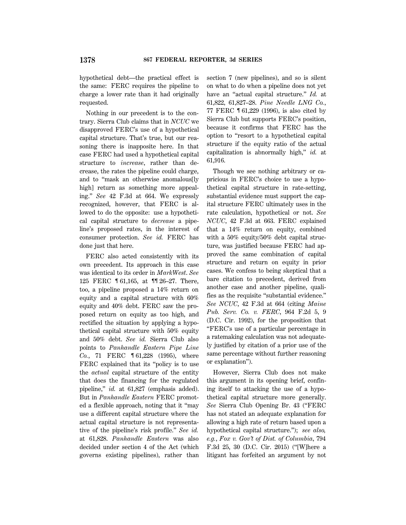hypothetical debt—the practical effect is the same: FERC requires the pipeline to charge a lower rate than it had originally requested.

Nothing in our precedent is to the contrary. Sierra Club claims that in *NCUC* we disapproved FERC's use of a hypothetical capital structure. That's true, but our reasoning there is inapposite here. In that case FERC had used a hypothetical capital structure to *increase*, rather than decrease, the rates the pipeline could charge, and to ''mask an otherwise anomalous[ly high] return as something more appealing.'' *See* 42 F.3d at 664. We expressly recognized, however, that FERC is allowed to do the opposite: use a hypothetical capital structure to *decrease* a pipeline's proposed rates, in the interest of consumer protection. *See id.* FERC has done just that here.

FERC also acted consistently with its own precedent. Its approach in this case was identical to its order in *MarkWest*. *See* 125 FERC ¶ 61,165, at ¶¶ 26–27. There, too, a pipeline proposed a 14% return on equity and a capital structure with 60% equity and 40% debt. FERC saw the proposed return on equity as too high, and rectified the situation by applying a hypothetical capital structure with 50% equity and 50% debt. *See id.* Sierra Club also points to *Panhandle Eastern Pipe Line Co.*, 71 FERC ¶ 61,228 (1995), where FERC explained that its "policy is to use the *actual* capital structure of the entity that does the financing for the regulated pipeline,'' *id.* at 61,827 (emphasis added). But in *Panhandle Eastern* FERC promoted a flexible approach, noting that it ''may use a different capital structure where the actual capital structure is not representative of the pipeline's risk profile.'' *See id.* at 61,828. *Panhandle Eastern* was also decided under section 4 of the Act (which governs existing pipelines), rather than section 7 (new pipelines), and so is silent on what to do when a pipeline does not yet have an "actual capital structure." *Id.* at 61,822, 61,827–28. *Pine Needle LNG Co.*, 77 FERC ¶ 61,229 (1996), is also cited by Sierra Club but supports FERC's position, because it confirms that FERC has the option to ''resort to a hypothetical capital structure if the equity ratio of the actual capitalization is abnormally high,'' *id.* at 61,916.

Though we see nothing arbitrary or capricious in FERC's choice to use a hypothetical capital structure in rate-setting, substantial evidence must support the capital structure FERC ultimately uses in the rate calculation, hypothetical or not. *See NCUC*, 42 F.3d at 663. FERC explained that a 14% return on equity, combined with a 50% equity/50% debt capital structure, was justified because FERC had approved the same combination of capital structure and return on equity in prior cases. We confess to being skeptical that a bare citation to precedent, derived from another case and another pipeline, qualifies as the requisite ''substantial evidence.'' *See NCUC*, 42 F.3d at 664 (citing *Maine Pub. Serv. Co. v. FERC*, 964 F.2d 5, 9 (D.C. Cir. 1992), for the proposition that ''FERC's use of a particular percentage in a ratemaking calculation was not adequately justified by citation of a prior use of the same percentage without further reasoning or explanation'').

However, Sierra Club does not make this argument in its opening brief, confining itself to attacking the use of a hypothetical capital structure more generally. *See* Sierra Club Opening Br. 43 (''FERC has not stated an adequate explanation for allowing a high rate of return based upon a hypothetical capital structure.''); *see also, e.g.*, *Fox v. Gov't of Dist. of Columbia*, 794 F.3d 25, 30 (D.C. Cir. 2015) (''[W]here a litigant has forfeited an argument by not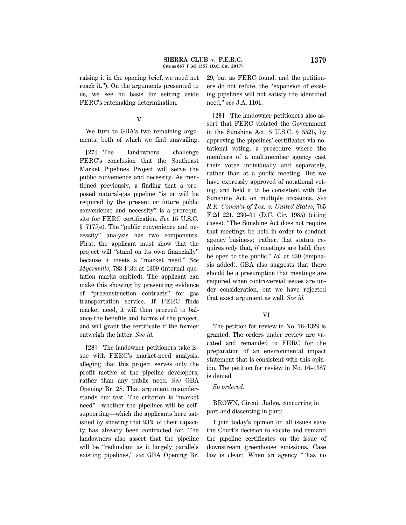raising it in the opening brief, we need not reach it.''). On the arguments presented to us, we see no basis for setting aside FERC's ratemaking determination.

# V

We turn to GBA's two remaining arguments, both of which we find unavailing.

**[27]** The landowners challenge FERC's conclusion that the Southeast Market Pipelines Project will serve the public convenience and necessity. As mentioned previously, a finding that a proposed natural-gas pipeline ''is or will be required by the present or future public convenience and necessity'' is a prerequisite for FERC certification. *See* 15 U.S.C. § 717f(e). The ''public convenience and necessity'' analysis has two components. First, the applicant must show that the project will ''stand on its own financially'' because it meets a ''market need.'' *See Myersville*, 783 F.3d at 1309 (internal quotation marks omitted). The applicant can make this showing by presenting evidence of ''preconstruction contracts'' for gas transportation service. If FERC finds market need, it will then proceed to balance the benefits and harms of the project, and will grant the certificate if the former outweigh the latter. *See id.*

**[28]** The landowner petitioners take issue with FERC's market-need analysis, alleging that this project serves only the profit motive of the pipeline developers, rather than any public need. *See* GBA Opening Br. 28. That argument misunderstands our test. The criterion is ''market need''—whether the pipelines will be selfsupporting—which the applicants here satisfied by showing that 93% of their capacity has already been contracted for. The landowners also assert that the pipeline will be ''redundant as it largely parallels existing pipelines,'' *see* GBA Opening Br. 29, but as FERC found, and the petitioners do not refute, the ''expansion of existing pipelines will not satisfy the identified need,'' *see* J.A. 1101.

**[29]** The landowner petitioners also assert that FERC violated the Government in the Sunshine Act, 5 U.S.C. § 552b, by approving the pipelines' certificates via notational voting, a procedure where the members of a multimember agency cast their votes individually and separately, rather than at a public meeting. But we have expressly approved of notational voting, and held it to be consistent with the Sunshine Act, on multiple occasions. *See R.R. Comm'n of Tex. v. United States*, 765 F.2d 221, 230–31 (D.C. Cir. 1985) (citing cases). ''The Sunshine Act does not require that meetings be held in order to conduct agency business; rather, that statute requires only that, *if* meetings are held, they be open to the public.'' *Id.* at 230 (emphasis added). GBA also suggests that there should be a presumption that meetings are required when controversial issues are under consideration, but we have rejected that exact argument as well. *See id.*

# VI

The petition for review in No. 16–1329 is granted. The orders under review are vacated and remanded to FERC for the preparation of an environmental impact statement that is consistent with this opinion. The petition for review in No. 16–1387 is denied.

## *So ordered.*

BROWN, Circuit Judge, concurring in part and dissenting in part:

I join today's opinion on all issues save the Court's decision to vacate and remand the pipeline certificates on the issue of downstream greenhouse emissions. Case law is clear: When an agency '' 'has no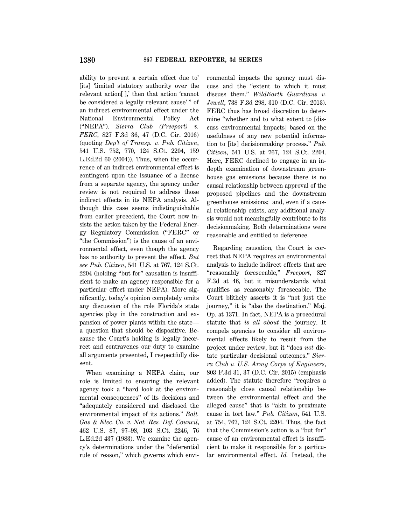ability to prevent a certain effect due to' [its] 'limited statutory authority over the relevant action[ ],' then that action 'cannot be considered a legally relevant cause' '' of an indirect environmental effect under the National Environmental Policy Act (''NEPA''). *Sierra Club (Freeport) v. FERC*, 827 F.3d 36, 47 (D.C. Cir. 2016) (quoting *Dep't of Transp. v. Pub. Citizen*, 541 U.S. 752, 770, 124 S.Ct. 2204, 159 L.Ed.2d 60 (2004)). Thus, when the occurrence of an indirect environmental effect is contingent upon the issuance of a license from a separate agency, the agency under review is not required to address those indirect effects in its NEPA analysis. Although this case seems indistinguishable from earlier precedent, the Court now insists the action taken by the Federal Energy Regulatory Commission (''FERC'' or "the Commission") is the cause of an environmental effect, even though the agency has no authority to prevent the effect. *But see Pub. Citizen*, 541 U.S. at 767, 124 S.Ct. 2204 (holding ''but for'' causation is insufficient to make an agency responsible for a particular effect under NEPA). More significantly, today's opinion completely omits any discussion of the role Florida's state agencies play in the construction and expansion of power plants within the state a question that should be dispositive. Because the Court's holding is legally incorrect and contravenes our duty to examine all arguments presented, I respectfully dissent.

When examining a NEPA claim, our role is limited to ensuring the relevant agency took a ''hard look at the environmental consequences'' of its decisions and ''adequately considered and disclosed the environmental impact of its actions.'' *Balt. Gas & Elec. Co. v. Nat. Res. Def. Council*, 462 U.S. 87, 97–98, 103 S.Ct. 2246, 76 L.Ed.2d 437 (1983). We examine the agency's determinations under the ''deferential rule of reason,'' which governs which environmental impacts the agency must discuss and the ''extent to which it must discuss them.'' *WildEarth Guardians v. Jewell*, 738 F.3d 298, 310 (D.C. Cir. 2013). FERC thus has broad discretion to determine ''whether and to what extent to [discuss environmental impacts] based on the usefulness of any new potential information to [its] decisionmaking process.'' *Pub. Citizen*, 541 U.S. at 767, 124 S.Ct. 2204. Here, FERC declined to engage in an indepth examination of downstream greenhouse gas emissions because there is no causal relationship between approval of the proposed pipelines and the downstream greenhouse emissions; and, even if a causal relationship exists, any additional analysis would not meaningfully contribute to its decisionmaking. Both determinations were reasonable and entitled to deference.

Regarding causation, the Court is correct that NEPA requires an environmental analysis to include indirect effects that are ''reasonably foreseeable,'' *Freeport*, 827 F.3d at 46, but it misunderstands what qualifies as reasonably foreseeable. The Court blithely asserts it is ''not just the journey,'' it is ''also the destination.'' Maj. Op. at 1371. In fact, NEPA is a procedural statute that *is all about* the journey. It compels agencies to consider all environmental effects likely to result from the project under review, but it ''does *not* dictate particular decisional outcomes.'' *Sierra Club v. U.S. Army Corps of Engineers*, 803 F.3d 31, 37 (D.C. Cir. 2015) (emphasis added). The statute therefore ''requires a reasonably close causal relationship between the environmental effect and the alleged cause'' that is ''akin to proximate cause in tort law.'' *Pub. Citizen*, 541 U.S. at 754, 767, 124 S.Ct. 2204. Thus, the fact that the Commission's action is a ''but for'' cause of an environmental effect is insufficient to make it responsible for a particular environmental effect. *Id.* Instead, the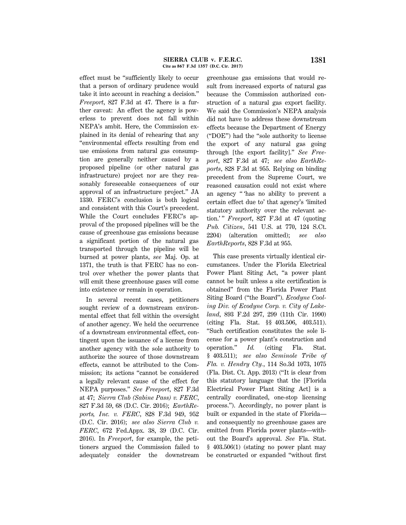effect must be ''sufficiently likely to occur that a person of ordinary prudence would take it into account in reaching a decision.'' *Freeport*, 827 F.3d at 47. There is a further caveat: An effect the agency is powerless to prevent does not fall within NEPA's ambit. Here, the Commission explained in its denial of rehearing that any ''environmental effects resulting from end use emissions from natural gas consumption are generally neither caused by a proposed pipeline (or other natural gas infrastructure) project nor are they reasonably foreseeable consequences of our approval of an infrastructure project.'' JA 1330. FERC's conclusion is both logical and consistent with this Court's precedent. While the Court concludes FERC's approval of the proposed pipelines will be the cause of greenhouse gas emissions because a significant portion of the natural gas transported through the pipeline will be burned at power plants, *see* Maj. Op. at 1371, the truth is that FERC has no control over whether the power plants that will emit these greenhouse gases will come into existence or remain in operation.

In several recent cases, petitioners sought review of a downstream environmental effect that fell within the oversight of another agency. We held the occurrence of a downstream environmental effect, contingent upon the issuance of a license from another agency with the sole authority to authorize the source of those downstream effects, cannot be attributed to the Commission; its actions ''cannot be considered a legally relevant cause of the effect for NEPA purposes.'' *See Freeport*, 827 F.3d at 47; *Sierra Club (Sabine Pass) v. FERC*, 827 F.3d 59, 68 (D.C. Cir. 2016); *EarthReports, Inc. v. FERC*, 828 F.3d 949, 952 (D.C. Cir. 2016); *see also Sierra Club v. FERC*, 672 Fed.Appx. 38, 39 (D.C. Cir. 2016). In *Freeport*, for example, the petitioners argued the Commission failed to adequately consider the downstream

greenhouse gas emissions that would result from increased exports of natural gas because the Commission authorized construction of a natural gas export facility. We said the Commission's NEPA analysis did not have to address these downstream effects because the Department of Energy (''DOE'') had the ''sole authority to license the export of any natural gas going through [the export facility].'' *See Freeport*, 827 F.3d at 47; *see also EarthReports*, 828 F.3d at 955. Relying on binding precedent from the Supreme Court, we reasoned causation could not exist where an agency '' 'has no ability to prevent a certain effect due to' that agency's 'limited statutory authority over the relevant action.' '' *Freeport*, 827 F.3d at 47 (quoting *Pub. Citizen*, 541 U.S. at 770, 124 S.Ct. 2204) (alteration omitted); *see also EarthReports*, 828 F.3d at 955.

This case presents virtually identical circumstances. Under the Florida Electrical Power Plant Siting Act, ''a power plant cannot be built unless a site certification is obtained'' from the Florida Power Plant Siting Board (''the Board''). *Ecodyne Cooling Div. of Ecodyne Corp. v. City of Lakeland*, 893 F.2d 297, 299 (11th Cir. 1990) (citing Fla. Stat. §§ 403.506, 403.511). ''Such certification constitutes the sole license for a power plant's construction and operation.'' *Id.* (citing Fla. Stat. § 403.511); *see also Seminole Tribe of Fla. v. Hendry Cty.*, 114 So.3d 1073, 1075 (Fla. Dist. Ct. App. 2013) (''It is clear from this statutory language that the [Florida Electrical Power Plant Siting Act] is a centrally coordinated, one-stop licensing process.''). Accordingly, no power plant is built or expanded in the state of Florida and consequently no greenhouse gases are emitted from Florida power plants—without the Board's approval. *See* Fla. Stat. § 403.506(1) (stating no power plant may be constructed or expanded ''without first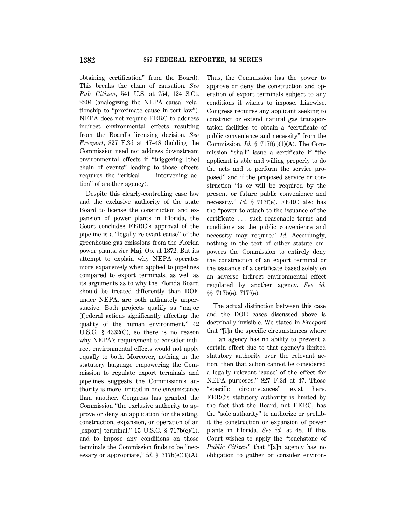obtaining certification'' from the Board). This breaks the chain of causation. *See Pub. Citizen*, 541 U.S. at 754, 124 S.Ct. 2204 (analogizing the NEPA causal relationship to ''proximate cause in tort law''). NEPA does not require FERC to address indirect environmental effects resulting from the Board's licensing decision. *See Freeport*, 827 F.3d at 47–48 (holding the Commission need not address downstream environmental effects if ''triggering [the] chain of events'' leading to those effects requires the "critical ... intervening action'' of another agency).

Despite this clearly-controlling case law and the exclusive authority of the state Board to license the construction and expansion of power plants in Florida, the Court concludes FERC's approval of the pipeline is a ''legally relevant cause'' of the greenhouse gas emissions from the Florida power plants. *See* Maj. Op. at 1372. But its attempt to explain why NEPA operates more expansively when applied to pipelines compared to export terminals, as well as its arguments as to why the Florida Board should be treated differently than DOE under NEPA, are both ultimately unpersuasive. Both projects qualify as ''major [f]ederal actions significantly affecting the quality of the human environment,"  $42$ U.S.C. § 4332(C), so there is no reason why NEPA's requirement to consider indirect environmental effects would not apply equally to both. Moreover, nothing in the statutory language empowering the Commission to regulate export terminals and pipelines suggests the Commission's authority is more limited in one circumstance than another. Congress has granted the Commission ''the exclusive authority to approve or deny an application for the siting, construction, expansion, or operation of an [export] terminal," 15 U.S.C. § 717b(e)(1), and to impose any conditions on those terminals the Commission finds to be ''necessary or appropriate," *id.* § 717b(e)(3)(A). Thus, the Commission has the power to approve or deny the construction and operation of export terminals subject to any conditions it wishes to impose. Likewise, Congress requires any applicant seeking to construct or extend natural gas transportation facilities to obtain a ''certificate of public convenience and necessity'' from the Commission. *Id.* § 717f(c)(1)(A). The Commission ''shall'' issue a certificate if ''the applicant is able and willing properly to do the acts and to perform the service proposed'' and if the proposed service or construction "is or will be required by the present or future public convenience and necessity.'' *Id.* § 717f(e). FERC also has the ''power to attach to the issuance of the certificate ... such reasonable terms and conditions as the public convenience and necessity may require." *Id.* Accordingly, nothing in the text of either statute empowers the Commission to entirely deny the construction of an export terminal or the issuance of a certificate based solely on an adverse indirect environmental effect regulated by another agency. *See id.* §§ 717b(e), 717f(e).

The actual distinction between this case and the DOE cases discussed above is doctrinally invisible. We stated in *Freeport* that ''[i]n the specific circumstances where  $\ldots$  an agency has no ability to prevent a certain effect due to that agency's limited statutory authority over the relevant action, then that action cannot be considered a legally relevant 'cause' of the effect for NEPA purposes.'' 827 F.3d at 47. Those ''specific circumstances'' exist here. FERC's statutory authority is limited by the fact that the Board, not FERC, has the ''sole authority'' to authorize or prohibit the construction or expansion of power plants in Florida. *See id.* at 48. If this Court wishes to apply the ''touchstone of *Public Citizen*'' that ''[a]n agency has no obligation to gather or consider environ-